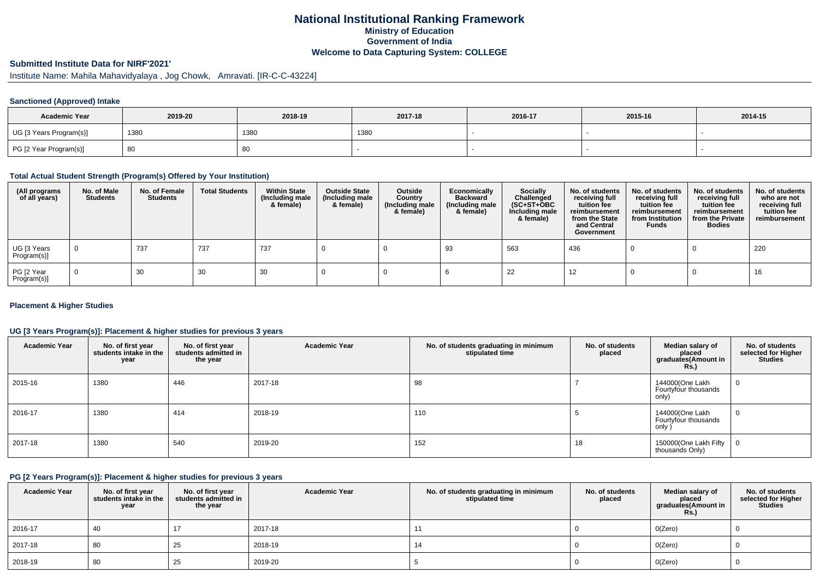## **National Institutional Ranking FrameworkMinistry of Education Government of IndiaWelcome to Data Capturing System: COLLEGE**

## **Submitted Institute Data for NIRF'2021'**

# Institute Name: Mahila Mahavidyalaya , Jog Chowk, Amravati. [IR-C-C-43224]

### **Sanctioned (Approved) Intake**

| <b>Academic Year</b>    | 2019-20 | 2018-19 | 2017-18 | 2016-17 | 2015-16 |  |
|-------------------------|---------|---------|---------|---------|---------|--|
| UG [3 Years Program(s)] | 1380    | 1380    | 1380    |         |         |  |
| PG [2 Year Program(s)]  | -80     | 80      |         |         |         |  |

#### **Total Actual Student Strength (Program(s) Offered by Your Institution)**

| (All programs<br>of all years) | No. of Male<br><b>Students</b> | No. of Female<br>Students | <b>Total Students</b> | <b>Within State</b><br>(Including male<br>& female) | <b>Outside State</b><br>(Including male<br>& female) | Outside<br>Country<br>(Including male<br>& female) | Economically<br>Backward<br>(Including male<br>& female) | <b>Socially</b><br>Challenged<br>$(SC+ST+OBC)$<br>Including male<br>& female) | No. of students<br>receiving full<br>tuition fee<br>reimbursement<br>from the State<br>and Central<br>Government | No. of students<br>receiving full<br>tuition fee<br>reimbursement<br>from Institution<br><b>Funds</b> | No. of students<br>receiving full<br>tuition fee<br>reimbursement<br>from the Private<br><b>Bodies</b> | No. of students<br>who are not<br>receiving full<br>tuition fee<br>reimbursement |
|--------------------------------|--------------------------------|---------------------------|-----------------------|-----------------------------------------------------|------------------------------------------------------|----------------------------------------------------|----------------------------------------------------------|-------------------------------------------------------------------------------|------------------------------------------------------------------------------------------------------------------|-------------------------------------------------------------------------------------------------------|--------------------------------------------------------------------------------------------------------|----------------------------------------------------------------------------------|
| UG [3 Years<br>Program(s)]     | $\mathbf 0$                    | 737                       | 737                   | 737                                                 |                                                      |                                                    | -93                                                      | 563                                                                           | 436                                                                                                              |                                                                                                       |                                                                                                        | 220                                                                              |
| PG [2 Year<br>Program(s)]      | $\overline{0}$                 | 30                        | 30                    | 30                                                  |                                                      |                                                    |                                                          | 22                                                                            | 12                                                                                                               |                                                                                                       |                                                                                                        | 16                                                                               |

### **Placement & Higher Studies**

### **UG [3 Years Program(s)]: Placement & higher studies for previous 3 years**

| <b>Academic Year</b> | No. of first year<br>students intake in the<br>year | No. of first year<br>students admitted in<br>the year | <b>Academic Year</b> | No. of students graduating in minimum<br>stipulated time | No. of students<br>placed | Median salary of<br>placed<br>graduates(Amount in<br>Rs.) | No. of students<br>selected for Higher<br><b>Studies</b> |
|----------------------|-----------------------------------------------------|-------------------------------------------------------|----------------------|----------------------------------------------------------|---------------------------|-----------------------------------------------------------|----------------------------------------------------------|
| 2015-16              | 1380                                                | 446                                                   | 2017-18              | 98                                                       |                           | 144000(One Lakh<br>Fourtyfour thousands<br>only)          | $\mathbf{0}$                                             |
| 2016-17              | 1380                                                | 414                                                   | 2018-19              | 110                                                      |                           | 144000(One Lakh<br>Fourtyfour thousands<br>only           | $\mathbf{0}$                                             |
| 2017-18              | 1380                                                | 540                                                   | 2019-20              | 152                                                      | 18                        | 150000(One Lakh Fifty<br>thousands Only)                  | 0                                                        |

#### **PG [2 Years Program(s)]: Placement & higher studies for previous 3 years**

| <b>Academic Year</b> | No. of first year<br>students intake in the<br>year | No. of first vear<br>students admitted in<br>the year | <b>Academic Year</b> | No. of students graduating in minimum<br>stipulated time | No. of students<br>placed | Median salary of<br>placed<br>graduates(Amount in<br><b>Rs.)</b> | No. of students<br>selected for Higher<br><b>Studies</b> |
|----------------------|-----------------------------------------------------|-------------------------------------------------------|----------------------|----------------------------------------------------------|---------------------------|------------------------------------------------------------------|----------------------------------------------------------|
| 2016-17              | 40                                                  | 17                                                    | 2017-18              | 11                                                       |                           | O(Zero)                                                          |                                                          |
| 2017-18              | 80                                                  | 25                                                    | 2018-19              | 14                                                       |                           | O(Zero)                                                          |                                                          |
| 2018-19              | 80                                                  | 25                                                    | 2019-20              |                                                          |                           | O(Zero)                                                          | υ                                                        |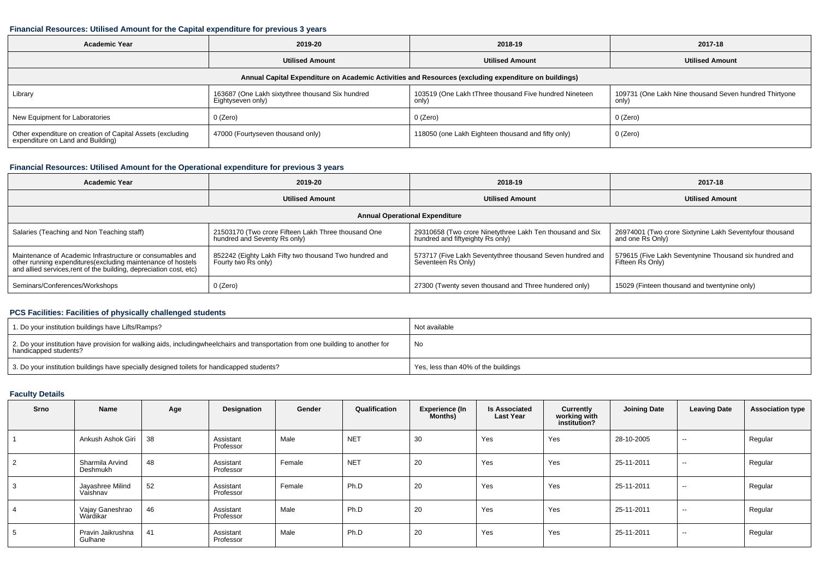### **Financial Resources: Utilised Amount for the Capital expenditure for previous 3 years**

| <b>Academic Year</b>                                                                                 | 2019-20                                                               | 2018-19                                                         | 2017-18                                                         |  |  |  |  |  |  |  |
|------------------------------------------------------------------------------------------------------|-----------------------------------------------------------------------|-----------------------------------------------------------------|-----------------------------------------------------------------|--|--|--|--|--|--|--|
|                                                                                                      | <b>Utilised Amount</b>                                                | <b>Utilised Amount</b>                                          | <b>Utilised Amount</b>                                          |  |  |  |  |  |  |  |
| Annual Capital Expenditure on Academic Activities and Resources (excluding expenditure on buildings) |                                                                       |                                                                 |                                                                 |  |  |  |  |  |  |  |
| Library                                                                                              | 163687 (One Lakh sixtythree thousand Six hundred<br>Eightyseven only) | 103519 (One Lakh tThree thousand Five hundred Nineteen<br>only) | 109731 (One Lakh Nine thousand Seven hundred Thirtyone<br>only) |  |  |  |  |  |  |  |
| New Equipment for Laboratories                                                                       | 0 (Zero)                                                              | 0 (Zero)                                                        | 0 (Zero)                                                        |  |  |  |  |  |  |  |
| Other expenditure on creation of Capital Assets (excluding<br>expenditure on Land and Building)      | 47000 (Fourtyseven thousand only)                                     | 118050 (one Lakh Eighteen thousand and fifty only)              | 0 (Zero)                                                        |  |  |  |  |  |  |  |

### **Financial Resources: Utilised Amount for the Operational expenditure for previous 3 years**

| <b>Academic Year</b>                                                                                                                                                                            | 2019-20                                                                             | 2018-19                                                                                       | 2017-18                                                                     |  |  |  |  |  |  |
|-------------------------------------------------------------------------------------------------------------------------------------------------------------------------------------------------|-------------------------------------------------------------------------------------|-----------------------------------------------------------------------------------------------|-----------------------------------------------------------------------------|--|--|--|--|--|--|
|                                                                                                                                                                                                 | <b>Utilised Amount</b>                                                              | <b>Utilised Amount</b>                                                                        | <b>Utilised Amount</b>                                                      |  |  |  |  |  |  |
| <b>Annual Operational Expenditure</b>                                                                                                                                                           |                                                                                     |                                                                                               |                                                                             |  |  |  |  |  |  |
| Salaries (Teaching and Non Teaching staff)                                                                                                                                                      | 21503170 (Two crore Fifteen Lakh Three thousand One<br>hundred and Seventy Rs only) | 29310658 (Two crore Ninetythree Lakh Ten thousand and Six<br>hundred and fiftyeighty Rs only) | 26974001 (Two crore Sixtynine Lakh Seventyfour thousand<br>and one Rs Only) |  |  |  |  |  |  |
| Maintenance of Academic Infrastructure or consumables and<br>other running expenditures (excluding maintenance of hostels<br>and allied services, rent of the building, depreciation cost, etc) | 852242 (Eighty Lakh Fifty two thousand Two hundred and<br>Fourty two Rs only)       | 573717 (Five Lakh Seventythree thousand Seven hundred and<br>Seventeen Rs Only)               | 579615 (Five Lakh Seventynine Thousand six hundred and<br>Fifteen Rs Only)  |  |  |  |  |  |  |
| Seminars/Conferences/Workshops                                                                                                                                                                  | 0 (Zero)                                                                            | 27300 (Twenty seven thousand and Three hundered only)                                         | 15029 (Finteen thousand and twentynine only)                                |  |  |  |  |  |  |

### **PCS Facilities: Facilities of physically challenged students**

| 1. Do your institution buildings have Lifts/Ramps?                                                                                                        | Not available                       |
|-----------------------------------------------------------------------------------------------------------------------------------------------------------|-------------------------------------|
| 2. Do your institution have provision for walking aids, includingwheelchairs and transportation from one building to another for<br>handicapped students? | No                                  |
| 3. Do your institution buildings have specially designed toilets for handicapped students?                                                                | Yes, less than 40% of the buildings |

### **Faculty Details**

| Srno | Name                         | Age | <b>Designation</b>     | Gender | Qualification | <b>Experience (In</b><br>Months) | <b>Is Associated</b><br><b>Last Year</b> | Currently<br>working with<br>institution? | <b>Joining Date</b> | <b>Leaving Date</b> | <b>Association type</b> |
|------|------------------------------|-----|------------------------|--------|---------------|----------------------------------|------------------------------------------|-------------------------------------------|---------------------|---------------------|-------------------------|
|      | Ankush Ashok Giri            | 38  | Assistant<br>Professor | Male   | <b>NET</b>    | 30                               | Yes                                      | Yes                                       | 28-10-2005          | $\sim$              | Regular                 |
|      | Sharmila Arvind<br>Deshmukh  | 48  | Assistant<br>Professor | Female | <b>NET</b>    | 20                               | Yes                                      | Yes                                       | 25-11-2011          | $\sim$              | Regular                 |
|      | Jayashree Milind<br>Vaishnav | 52  | Assistant<br>Professor | Female | Ph.D          | 20                               | Yes                                      | Yes                                       | 25-11-2011          | $\sim$              | Regular                 |
|      | Vajay Ganeshrao<br>Wardikar  | 46  | Assistant<br>Professor | Male   | Ph.D          | 20                               | Yes                                      | Yes                                       | 25-11-2011          | $\sim$              | Regular                 |
|      | Pravin Jaikrushna<br>Gulhane | 41  | Assistant<br>Professor | Male   | Ph.D          | 20                               | Yes                                      | Yes                                       | 25-11-2011          | $\sim$              | Regular                 |